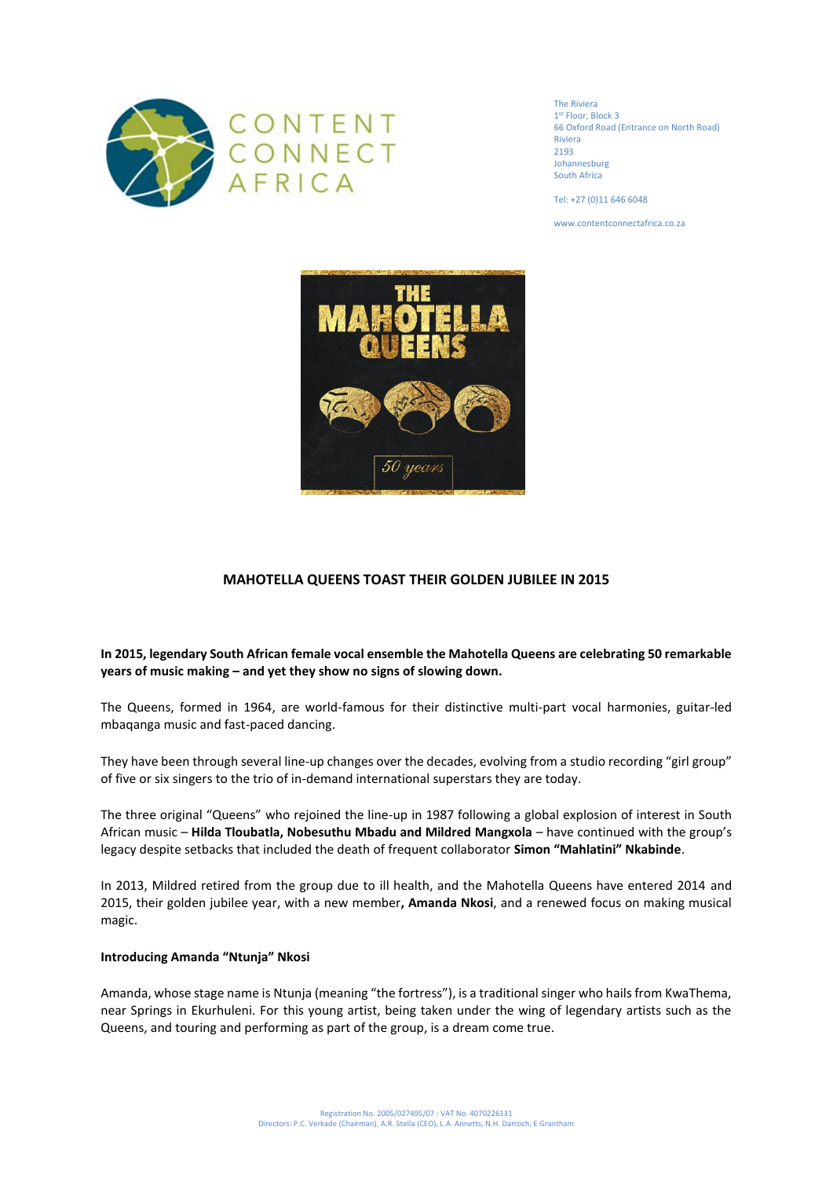

The Riviera 1 st Floor, Block 3 66 Oxford Road (Entrance on North Road) Riviera 2193 Johannesburg South Africa

Tel: +27 (0)11 646 6048

www.contentconnectafrica.co.za



# **MAHOTELLA QUEENS TOAST THEIR GOLDEN JUBILEE IN 2015**

# **In 2015, legendary South African female vocal ensemble the Mahotella Queens are celebrating 50 remarkable years of music making – and yet they show no signs of slowing down.**

The Queens, formed in 1964, are world-famous for their distinctive multi-part vocal harmonies, guitar-led mbaqanga music and fast-paced dancing.

They have been through several line-up changes over the decades, evolving from a studio recording "girl group" of five or six singers to the trio of in-demand international superstars they are today.

The three original "Queens" who rejoined the line-up in 1987 following a global explosion of interest in South African music – **Hilda Tloubatla, Nobesuthu Mbadu and Mildred Mangxola** – have continued with the group's legacy despite setbacks that included the death of frequent collaborator **Simon "Mahlatini" Nkabinde**.

In 2013, Mildred retired from the group due to ill health, and the Mahotella Queens have entered 2014 and 2015, their golden jubilee year, with a new member**, Amanda Nkosi**, and a renewed focus on making musical magic.

### **Introducing Amanda "Ntunja" Nkosi**

Amanda, whose stage name is Ntunja (meaning "the fortress"), is a traditional singer who hails from KwaThema, near Springs in Ekurhuleni. For this young artist, being taken under the wing of legendary artists such as the Queens, and touring and performing as part of the group, is a dream come true.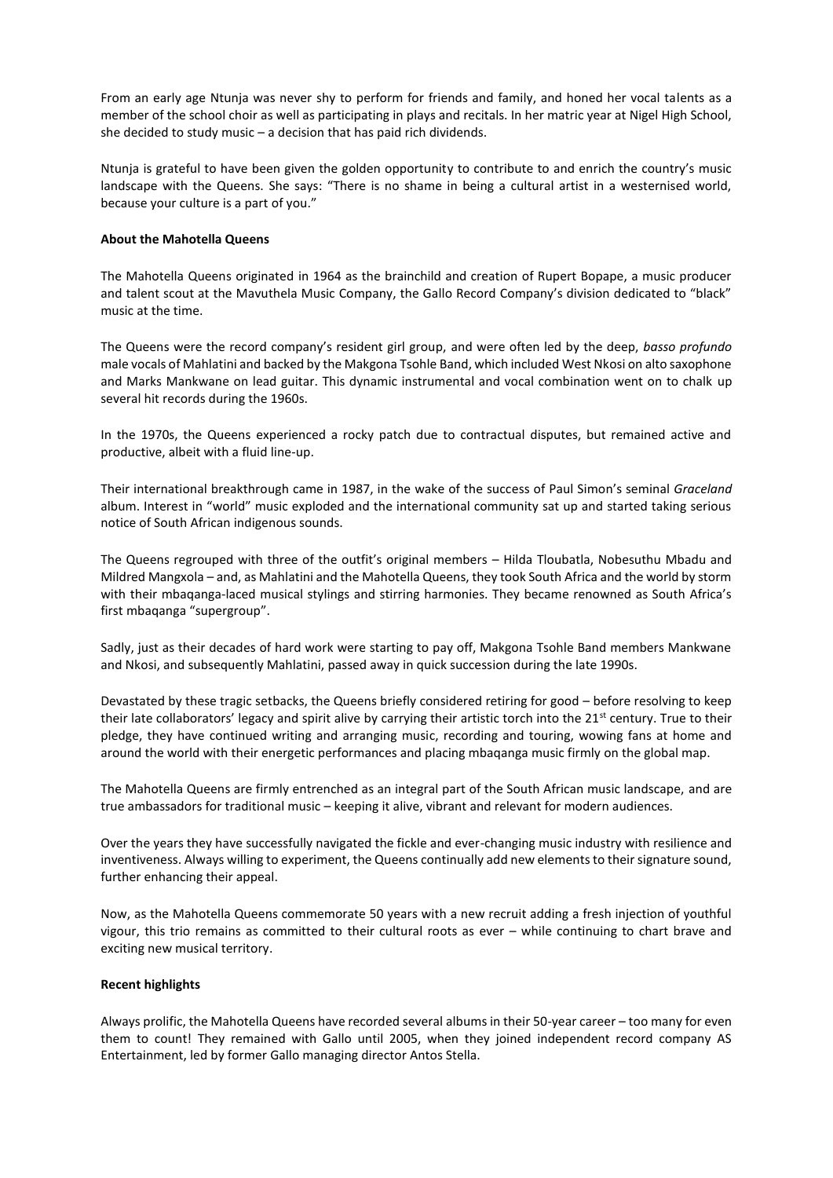From an early age Ntunja was never shy to perform for friends and family, and honed her vocal talents as a member of the school choir as well as participating in plays and recitals. In her matric year at Nigel High School, she decided to study music – a decision that has paid rich dividends.

Ntunja is grateful to have been given the golden opportunity to contribute to and enrich the country's music landscape with the Queens. She says: "There is no shame in being a cultural artist in a westernised world, because your culture is a part of you."

### **About the Mahotella Queens**

The Mahotella Queens originated in 1964 as the brainchild and creation of Rupert Bopape, a music producer and talent scout at the Mavuthela Music Company, the Gallo Record Company's division dedicated to "black" music at the time.

The Queens were the record company's resident girl group, and were often led by the deep, *basso profundo* male vocals of Mahlatini and backed by the Makgona Tsohle Band, which included West Nkosi on alto saxophone and Marks Mankwane on lead guitar. This dynamic instrumental and vocal combination went on to chalk up several hit records during the 1960s.

In the 1970s, the Queens experienced a rocky patch due to contractual disputes, but remained active and productive, albeit with a fluid line-up.

Their international breakthrough came in 1987, in the wake of the success of Paul Simon's seminal *Graceland* album. Interest in "world" music exploded and the international community sat up and started taking serious notice of South African indigenous sounds.

The Queens regrouped with three of the outfit's original members – Hilda Tloubatla, Nobesuthu Mbadu and Mildred Mangxola – and, as Mahlatini and the Mahotella Queens, they took South Africa and the world by storm with their mbaqanga-laced musical stylings and stirring harmonies. They became renowned as South Africa's first mbaqanga "supergroup".

Sadly, just as their decades of hard work were starting to pay off, Makgona Tsohle Band members Mankwane and Nkosi, and subsequently Mahlatini, passed away in quick succession during the late 1990s.

Devastated by these tragic setbacks, the Queens briefly considered retiring for good – before resolving to keep their late collaborators' legacy and spirit alive by carrying their artistic torch into the  $21^{st}$  century. True to their pledge, they have continued writing and arranging music, recording and touring, wowing fans at home and around the world with their energetic performances and placing mbaqanga music firmly on the global map.

The Mahotella Queens are firmly entrenched as an integral part of the South African music landscape, and are true ambassadors for traditional music – keeping it alive, vibrant and relevant for modern audiences.

Over the years they have successfully navigated the fickle and ever-changing music industry with resilience and inventiveness. Always willing to experiment, the Queens continually add new elements to their signature sound, further enhancing their appeal.

Now, as the Mahotella Queens commemorate 50 years with a new recruit adding a fresh injection of youthful vigour, this trio remains as committed to their cultural roots as ever – while continuing to chart brave and exciting new musical territory.

#### **Recent highlights**

Always prolific, the Mahotella Queens have recorded several albums in their 50-year career – too many for even them to count! They remained with Gallo until 2005, when they joined independent record company AS Entertainment, led by former Gallo managing director Antos Stella.